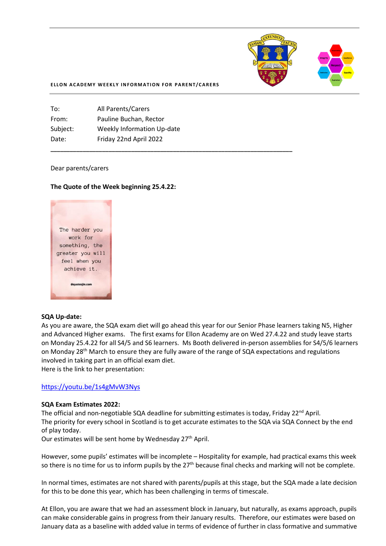

#### **ELLON ACADEMY WEEKLY INFORMATION FOR PARENT/CARERS**

**\_\_\_\_\_\_\_\_\_\_\_\_\_\_\_\_\_\_\_\_\_\_\_\_\_\_\_\_\_\_\_\_\_\_\_\_\_\_\_\_\_\_\_\_\_\_\_\_\_\_\_\_\_\_\_\_\_\_\_\_\_\_\_\_\_\_\_\_\_\_\_\_\_\_\_**

| <b>All Parents/Carers</b>         |
|-----------------------------------|
| Pauline Buchan, Rector            |
| <b>Weekly Information Up-date</b> |
| Friday 22nd April 2022            |
|                                   |

#### Dear parents/carers

#### **The Quote of the Week beginning 25.4.22:**



#### **SQA Up-date:**

As you are aware, the SQA exam diet will go ahead this year for our Senior Phase learners taking N5, Higher and Advanced Higher exams. The first exams for Ellon Academy are on Wed 27.4.22 and study leave starts on Monday 25.4.22 for all S4/5 and S6 learners. Ms Booth delivered in-person assemblies for S4/5/6 learners on Monday 28<sup>th</sup> March to ensure they are fully aware of the range of SQA expectations and regulations involved in taking part in an official exam diet. Here is the link to her presentation:

# <https://youtu.be/1s4gMvW3Nys>

#### **SQA Exam Estimates 2022:**

The official and non-negotiable SQA deadline for submitting estimates is today, Friday  $22^{nd}$  April. The priority for every school in Scotland is to get accurate estimates to the SQA via SQA Connect by the end of play today.

Our estimates will be sent home by Wednesday 27<sup>th</sup> April.

However, some pupils' estimates will be incomplete – Hospitality for example, had practical exams this week so there is no time for us to inform pupils by the  $27<sup>th</sup>$  because final checks and marking will not be complete.

In normal times, estimates are not shared with parents/pupils at this stage, but the SQA made a late decision for this to be done this year, which has been challenging in terms of timescale.

At Ellon, you are aware that we had an assessment block in January, but naturally, as exams approach, pupils can make considerable gains in progress from their January results. Therefore, our estimates were based on January data as a baseline with added value in terms of evidence of further in class formative and summative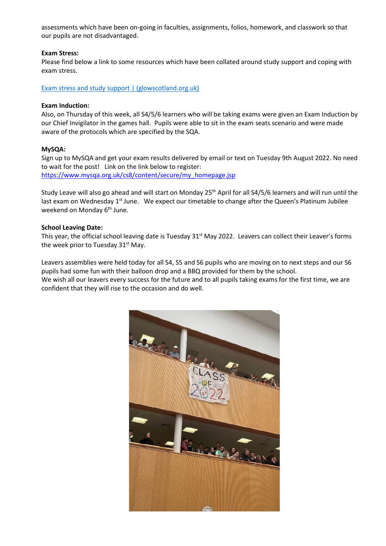assessments which have been on-going in faculties, assignments, folios, homework, and classwork so that our pupils are not disadvantaged.

#### **Exam Stress:**

Please find below a link to some resources which have been collated around study support and coping with exam stress.

[Exam stress and study support | \(glowscotland.org.uk\)](https://blogs.glowscotland.org.uk/as/aberdeenshireeps/exam-stress-and-study-support/)

#### **Exam Induction:**

Also, on Thursday of this week, all S4/5/6 learners who will be taking exams were given an Exam Induction by our Chief Invigilator in the games hall. Pupils were able to sit in the exam seats scenario and were made aware of the protocols which are specified by the SQA.

#### **MySQA:**

Sign up to MySQA and get your exam results delivered by email or text on Tuesday 9th August 2022. No need to wait for the post! Link on the link below to register: [https://www.mysqa.org.uk/cs8/content/secure/my\\_homepage.jsp](https://l.facebook.com/l.php?u=https%3A%2F%2Fwww.mysqa.org.uk%2Fcs8%2Fcontent%2Fsecure%2Fmy_homepage.jsp%3Ffbclid%3DIwAR0g9GZcUpZZ_PpcfHl2y3dosYHZwsAJkTIxtkj3boI0iuwlwxVAOeYORos&h=AT1TA_siBgP3pWtRwa3CsNeeYwSViLWCiuyk9WaYbNJfRKCWnfBT3DquBeQdcDWSOjVCH7OBLhmVN9UBFRBQ4eMd33jfThP5o6I1uabUI067qsPSwGu3DHGi4mCezeZou9Vd&__tn__=-UK-R&c%5b0%5d=AT2pWJVD5PnBl5Hodj-l7hMPdqEYvq9oafQ2aT1mRhjk9_wVdOxx_BM7ICiqSLpqDv9AQTpEBQFJaBBy5lZmWQQjd8tS1nnLmcTbWBEoAv68rUxAuT0FbFW6VfjfK5fqA44sXpdGHhRikx2bLus9il3MpoK8f_m2Z0LTVS0qt1qfBXgTyX1VxtFkcgvouYIIw0gbH3Cp)

Study Leave will also go ahead and will start on Monday 25<sup>th</sup> April for all S4/5/6 learners and will run until the last exam on Wednesday  $1<sup>st</sup>$  June. We expect our timetable to change after the Queen's Platinum Jubilee weekend on Monday 6<sup>th</sup> June.

#### **School Leaving Date:**

This year, the official school leaving date is Tuesday 31<sup>st</sup> May 2022. Leavers can collect their Leaver's forms the week prior to Tuesday  $31^{st}$  May.

Leavers assemblies were held today for all S4, S5 and S6 pupils who are moving on to next steps and our S6 pupils had some fun with their balloon drop and a BBQ provided for them by the school.

We wish all our leavers every success for the future and to all pupils taking exams for the first time, we are confident that they will rise to the occasion and do well.

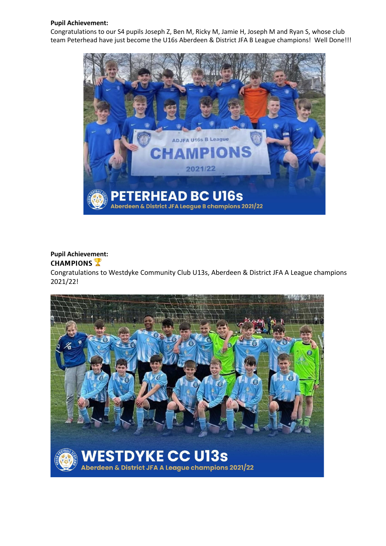# **Pupil Achievement:**

Congratulations to our S4 pupils Joseph Z, Ben M, Ricky M, Jamie H, Joseph M and Ryan S, whose club team Peterhead have just become the U16s Aberdeen & District JFA B League champions! Well Done!!!



# **Pupil Achievement:**

# **CHAMPIONS**

Congratulations to Westdyke [Community](https://www.facebook.com/westdykecommunityclub/?__cft__%5b0%5d=AZUNb_Hlnh-5HKoN8ke6OKmkvgJVGD7_wC_VpCoa_vRv2FpcdCDwS2QwayitGE3H3xMKbB5YtbXHoSCDbBxCLGp0Rg2Bj50o_f9-_Ch59KHDaTgypfCwvlAvIyQNeMwm-1PDfkchSI-WyluZAu2x5604DfUcD-TVh788o96fcc8agGiJyar_It2Up41mnEU4jkQ3lEAx0i7LMLR2ghXdUclO6YPEdl5r3OsIWgEC8D13-w&__tn__=kK-y-R) Club U13s, Aberdeen & District JFA A League champions 2021/22!

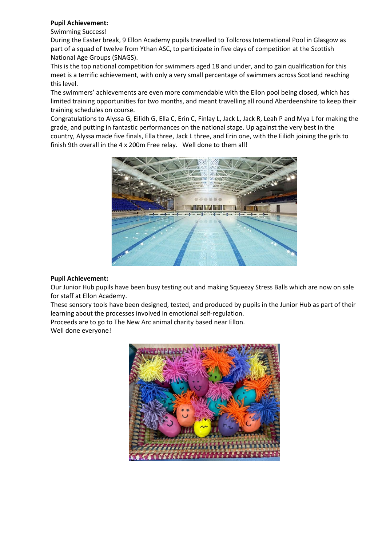# **Pupil Achievement:**

# Swimming Success!

During the Easter break, 9 Ellon Academy pupils travelled to Tollcross International Pool in Glasgow as part of a squad of twelve from Ythan ASC, to participate in five days of competition at the Scottish National Age Groups (SNAGS).

This is the top national competition for swimmers aged 18 and under, and to gain qualification for this meet is a terrific achievement, with only a very small percentage of swimmers across Scotland reaching this level.

The swimmers' achievements are even more commendable with the Ellon pool being closed, which has limited training opportunities for two months, and meant travelling all round Aberdeenshire to keep their training schedules on course.

Congratulations to Alyssa G, Eilidh G, Ella C, Erin C, Finlay L, Jack L, Jack R, Leah P and Mya L for making the grade, and putting in fantastic performances on the national stage. Up against the very best in the country, Alyssa made five finals, Ella three, Jack L three, and Erin one, with the Eilidh joining the girls to finish 9th overall in the 4 x 200m Free relay. Well done to them all!



## **Pupil Achievement:**

Our Junior Hub pupils have been busy testing out and making Squeezy Stress Balls which are now on sale for staff at Ellon Academy.

These sensory tools have been designed, tested, and produced by pupils in the Junior Hub as part of their learning about the processes involved in emotional self-regulation.

Proceeds are to go to The New Arc animal charity based near Ellon. Well done everyone!